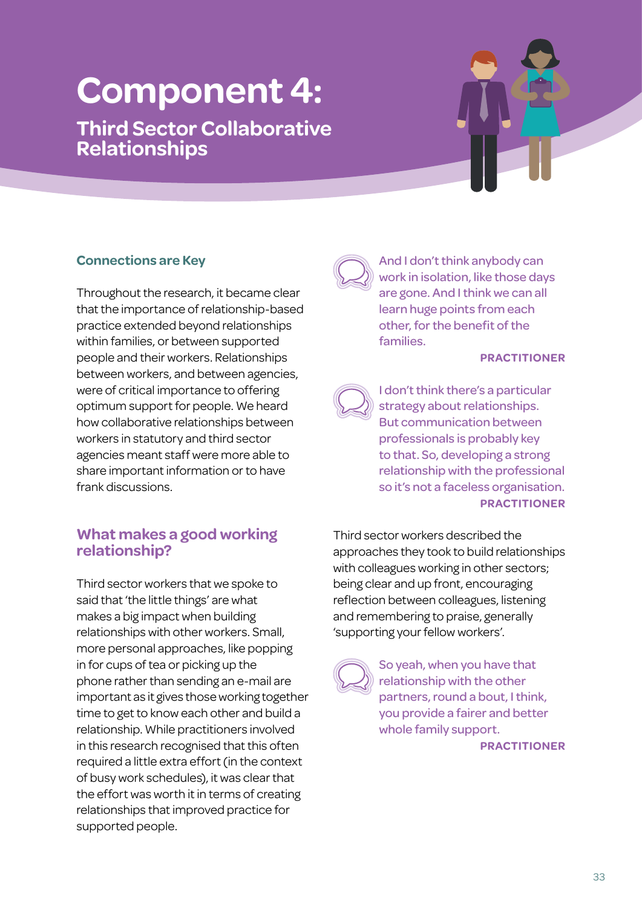# **Component 4:**

**Third Sector Collaborative Relationships**

## **Connections are Key**

Throughout the research, it became clear that the importance of relationship-based practice extended beyond relationships within families, or between supported people and their workers. Relationships between workers, and between agencies, were of critical importance to offering optimum support for people. We heard how collaborative relationships between workers in statutory and third sector agencies meant staff were more able to share important information or to have frank discussions.

## **What makes a good working relationship?**

Third sector workers that we spoke to said that 'the little things' are what makes a big impact when building relationships with other workers. Small, more personal approaches, like popping in for cups of tea or picking up the phone rather than sending an e-mail are important as it gives those working together time to get to know each other and build a relationship. While practitioners involved in this research recognised that this often required a little extra effort (in the context of busy work schedules), it was clear that the effort was worth it in terms of creating relationships that improved practice for supported people.



And I don't think anybody can work in isolation, like those days are gone. And I think we can all learn huge points from each other, for the benefit of the families.

Unlocking the heart of relationship-based practice

#### **PRACTITIONER**



I don't think there's a particular strategy about relationships. But communication between professionals is probably key to that. So, developing a strong relationship with the professional so it's not a faceless organisation. **PRACTITIONER**

Third sector workers described the approaches they took to build relationships with colleagues working in other sectors; being clear and up front, encouraging reflection between colleagues, listening and remembering to praise, generally 'supporting your fellow workers'.

So yeah, when you have that relationship with the other partners, round a bout, I think, you provide a fairer and better whole family support.

**PRACTITIONER**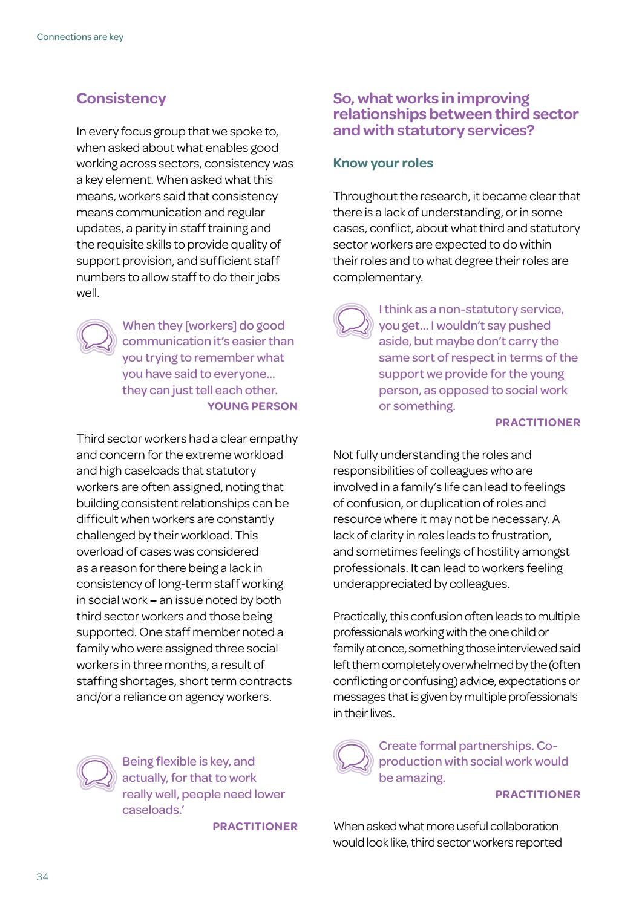## **Consistency**

In every focus group that we spoke to, when asked about what enables good working across sectors, consistency was a key element. When asked what this means, workers said that consistency means communication and regular updates, a parity in staff training and the requisite skills to provide quality of support provision, and sufficient staff numbers to allow staff to do their jobs well.



When they [workers] do good communication it's easier than you trying to remember what you have said to everyone… they can just tell each other. **YOUNG PERSON**

Third sector workers had a clear empathy and concern for the extreme workload and high caseloads that statutory workers are often assigned, noting that building consistent relationships can be difficult when workers are constantly challenged by their workload. This overload of cases was considered as a reason for there being a lack in consistency of long-term staff working in social work **–** an issue noted by both third sector workers and those being supported. One staff member noted a family who were assigned three social workers in three months, a result of staffing shortages, short term contracts and/or a reliance on agency workers.



Being flexible is key, and actually, for that to work really well, people need lower caseloads.'

**PRACTITIONER**

## **So, what works in improving relationships between third sector and with statutory services?**

#### **Know your roles**

Throughout the research, it became clear that there is a lack of understanding, or in some cases, conflict, about what third and statutory sector workers are expected to do within their roles and to what degree their roles are complementary.

> I think as a non-statutory service, you get... I wouldn't say pushed aside, but maybe don't carry the same sort of respect in terms of the support we provide for the young person, as opposed to social work or something.

#### **PRACTITIONER**

Not fully understanding the roles and responsibilities of colleagues who are involved in a family's life can lead to feelings of confusion, or duplication of roles and resource where it may not be necessary. A lack of clarity in roles leads to frustration, and sometimes feelings of hostility amongst professionals. It can lead to workers feeling underappreciated by colleagues.

Practically, this confusion often leads to multiple professionals working with the one child or family at once, something those interviewed said left them completely overwhelmed by the (often conflicting or confusing) advice, expectations or messages that is given by multiple professionals in their lives.

Create formal partnerships. Coproduction with social work would be amazing.

#### **PRACTITIONER**

When asked what more useful collaboration would look like, third sector workers reported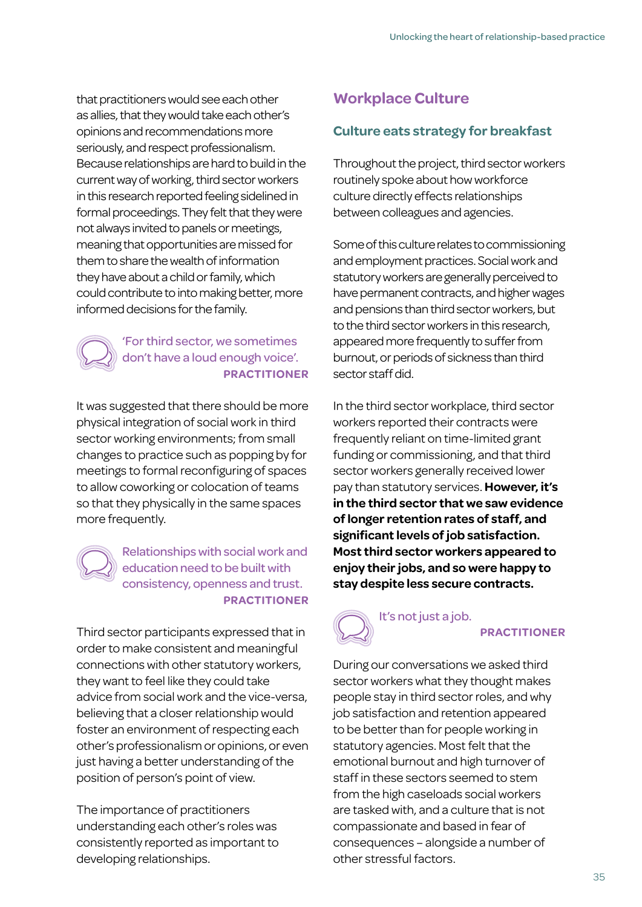that practitioners would see each other as allies, that they would take each other's opinions and recommendations more seriously, and respect professionalism. Because relationships are hard to build in the current way of working, third sector workers in this research reported feeling sidelined in formal proceedings. They felt that they were not always invited to panels or meetings, meaning that opportunities are missed for them to share the wealth of information they have about a child or family, which could contribute to into making better, more informed decisions for the family.

#### 'For third sector, we sometimes don't have a loud enough voice'. **PRACTITIONER**

It was suggested that there should be more physical integration of social work in third sector working environments; from small changes to practice such as popping by for meetings to formal reconfiguring of spaces to allow coworking or colocation of teams so that they physically in the same spaces more frequently.

## Relationships with social work and education need to be built with consistency, openness and trust. **PRACTITIONER**

Third sector participants expressed that in order to make consistent and meaningful connections with other statutory workers, they want to feel like they could take advice from social work and the vice-versa, believing that a closer relationship would foster an environment of respecting each other's professionalism or opinions, or even just having a better understanding of the position of person's point of view.

The importance of practitioners understanding each other's roles was consistently reported as important to developing relationships.

# **Workplace Culture**

## **Culture eats strategy for breakfast**

Throughout the project, third sector workers routinely spoke about how workforce culture directly effects relationships between colleagues and agencies.

Some of this culture relates to commissioning and employment practices. Social work and statutory workers are generally perceived to have permanent contracts, and higher wages and pensions than third sector workers, but to the third sector workers in this research, appeared more frequently to suffer from burnout, or periods of sickness than third sector staff did.

In the third sector workplace, third sector workers reported their contracts were frequently reliant on time-limited grant funding or commissioning, and that third sector workers generally received lower pay than statutory services. **However, it's in the third sector that we saw evidence of longer retention rates of staff, and significant levels of job satisfaction. Most third sector workers appeared to enjoy their jobs, and so were happy to stay despite less secure contracts.**

# It's not just a job.

#### **PRACTITIONER**

During our conversations we asked third sector workers what they thought makes people stay in third sector roles, and why job satisfaction and retention appeared to be better than for people working in statutory agencies. Most felt that the emotional burnout and high turnover of staff in these sectors seemed to stem from the high caseloads social workers are tasked with, and a culture that is not compassionate and based in fear of consequences – alongside a number of other stressful factors.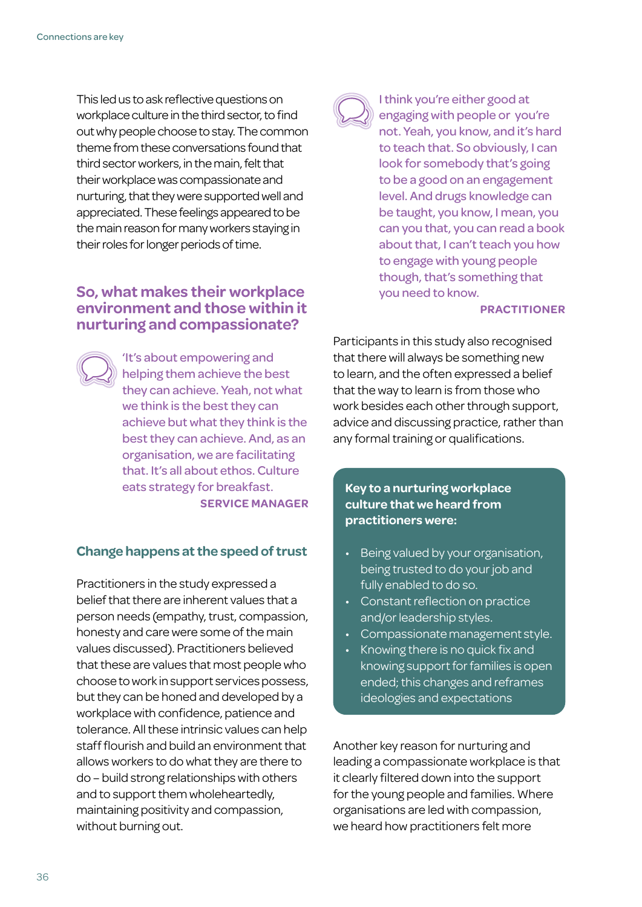This led us to ask reflective questions on workplace culture in the third sector, to find out why people choose to stay. The common theme from these conversations found that third sector workers, in the main, felt that their workplace was compassionate and nurturing, that they were supported well and appreciated. These feelings appeared to be the main reason for many workers staying in their roles for longer periods of time.

## **So, what makes their workplace environment and those within it nurturing and compassionate?**

'It's about empowering and helping them achieve the best they can achieve. Yeah, not what we think is the best they can achieve but what they think is the best they can achieve. And, as an organisation, we are facilitating that. It's all about ethos. Culture eats strategy for breakfast. **SERVICE MANAGER**

#### **Change happens at the speed of trust**

Practitioners in the study expressed a belief that there are inherent values that a person needs (empathy, trust, compassion, honesty and care were some of the main values discussed). Practitioners believed that these are values that most people who choose to work in support services possess, but they can be honed and developed by a workplace with confidence, patience and tolerance. All these intrinsic values can help staff flourish and build an environment that allows workers to do what they are there to do – build strong relationships with others and to support them wholeheartedly, maintaining positivity and compassion, without burning out.



I think you're either good at engaging with people or you're not. Yeah, you know, and it's hard to teach that. So obviously, I can look for somebody that's going to be a good on an engagement level. And drugs knowledge can be taught, you know, I mean, you can you that, you can read a book about that, I can't teach you how to engage with young people though, that's something that you need to know.

#### **PRACTITIONER**

Participants in this study also recognised that there will always be something new to learn, and the often expressed a belief that the way to learn is from those who work besides each other through support, advice and discussing practice, rather than any formal training or qualifications.

#### **Key to a nurturing workplace culture that we heard from practitioners were:**

- Being valued by your organisation, being trusted to do your job and fully enabled to do so.
- Constant reflection on practice and/or leadership styles.
- Compassionate management style.
- Knowing there is no quick fix and knowing support for families is open ended; this changes and reframes ideologies and expectations

Another key reason for nurturing and leading a compassionate workplace is that it clearly filtered down into the support for the young people and families. Where organisations are led with compassion, we heard how practitioners felt more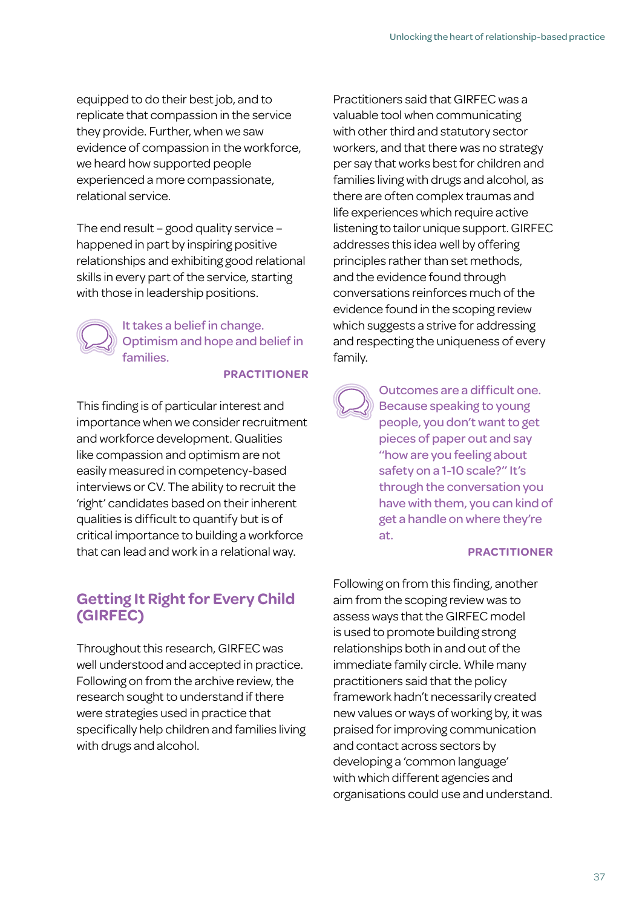equipped to do their best job, and to replicate that compassion in the service they provide. Further, when we saw evidence of compassion in the workforce, we heard how supported people experienced a more compassionate, relational service.

The end result – good quality service – happened in part by inspiring positive relationships and exhibiting good relational skills in every part of the service, starting with those in leadership positions.

> It takes a belief in change. Optimism and hope and belief in families.

> > **PRACTITIONER**

This finding is of particular interest and importance when we consider recruitment and workforce development. Qualities like compassion and optimism are not easily measured in competency-based interviews or CV. The ability to recruit the 'right' candidates based on their inherent qualities is difficult to quantify but is of critical importance to building a workforce that can lead and work in a relational way.

# **Getting It Right for Every Child (GIRFEC)**

Throughout this research, GIRFEC was well understood and accepted in practice. Following on from the archive review, the research sought to understand if there were strategies used in practice that specifically help children and families living with drugs and alcohol.

Practitioners said that GIRFEC was a valuable tool when communicating with other third and statutory sector workers, and that there was no strategy per say that works best for children and families living with drugs and alcohol, as there are often complex traumas and life experiences which require active listening to tailor unique support. GIRFEC addresses this idea well by offering principles rather than set methods, and the evidence found through conversations reinforces much of the evidence found in the scoping review which suggests a strive for addressing and respecting the uniqueness of every family.

Outcomes are a difficult one. Because speaking to young people, you don't want to get pieces of paper out and say ''how are you feeling about safety on a 1-10 scale?" It's through the conversation you have with them, you can kind of get a handle on where they're at.

#### **PRACTITIONER**

Following on from this finding, another aim from the scoping review was to assess ways that the GIRFEC model is used to promote building strong relationships both in and out of the immediate family circle. While many practitioners said that the policy framework hadn't necessarily created new values or ways of working by, it was praised for improving communication and contact across sectors by developing a 'common language' with which different agencies and organisations could use and understand.